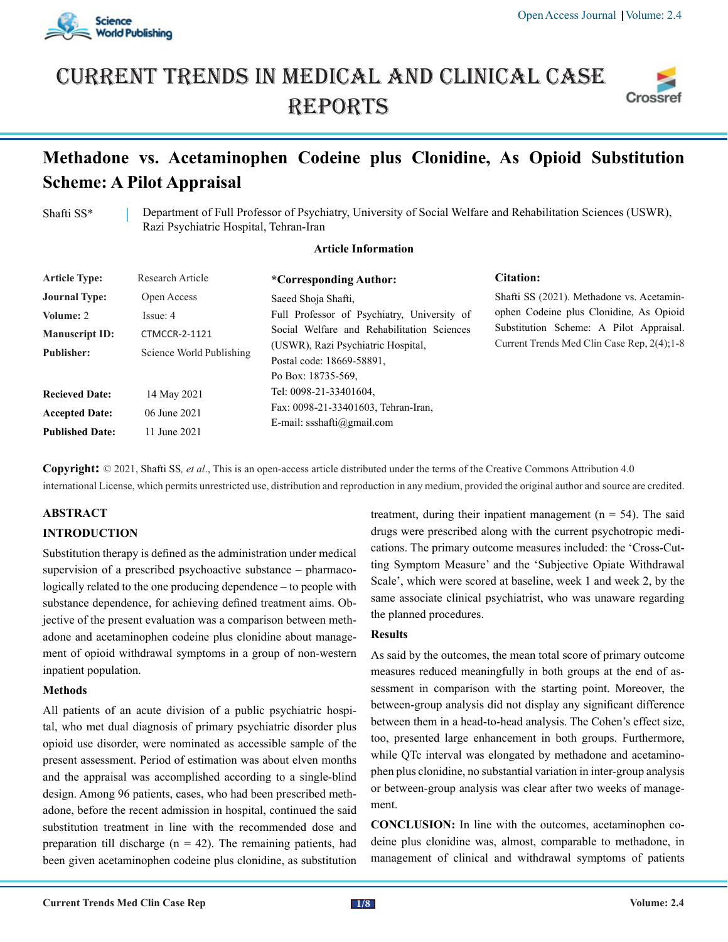

# Current trends in medical and Clinical case **REPORTS**



# **Methadone vs. Acetaminophen Codeine plus Clonidine, As Opioid Substitution Scheme: A Pilot Appraisal**

Shafti SS\* Department of Full Professor of Psychiatry, University of Social Welfare and Rehabilitation Sciences (USWR), Razi Psychiatric Hospital, Tehran-Iran

# **Article Information**

| <b>Article Type:</b>   | Research Article         | *Corresponding Author:                      | <b>Citation:</b>                                                                                                                |  |  |
|------------------------|--------------------------|---------------------------------------------|---------------------------------------------------------------------------------------------------------------------------------|--|--|
| <b>Journal Type:</b>   | Open Access              | Saeed Shoja Shafti,                         | Shafti SS (2021). Methadone vs. Acetamin-<br>ophen Codeine plus Clonidine, As Opioid<br>Substitution Scheme: A Pilot Appraisal. |  |  |
| Volume: 2              | Issue: 4                 | Full Professor of Psychiatry, University of |                                                                                                                                 |  |  |
| <b>Manuscript ID:</b>  | <b>CTMCCR-2-1121</b>     | Social Welfare and Rehabilitation Sciences  |                                                                                                                                 |  |  |
| Publisher:             | Science World Publishing | (USWR), Razi Psychiatric Hospital,          | Current Trends Med Clin Case Rep. 2(4); 1-8                                                                                     |  |  |
|                        |                          | Postal code: 18669-58891.                   |                                                                                                                                 |  |  |
|                        |                          | Po Box: 18735-569.                          |                                                                                                                                 |  |  |
| <b>Recieved Date:</b>  | 14 May 2021              | Tel: 0098-21-33401604,                      |                                                                                                                                 |  |  |
| <b>Accepted Date:</b>  | 06 June 2021             | Fax: 0098-21-33401603, Tehran-Iran,         |                                                                                                                                 |  |  |
|                        |                          | E-mail: ssshafti@gmail.com                  |                                                                                                                                 |  |  |
| <b>Published Date:</b> | 11 June 2021             |                                             |                                                                                                                                 |  |  |

**Copyright:** © 2021, Shafti SS*, et al*., This is an open-access article distributed under the terms of the Creative Commons Attribution 4.0 international License, which permits unrestricted use, distribution and reproduction in any medium, provided the original author and source are credited.

# **ABSTRACT**

# **INTRODUCTION**

Substitution therapy is defined as the administration under medical supervision of a prescribed psychoactive substance – pharmacologically related to the one producing dependence – to people with substance dependence, for achieving defined treatment aims. Objective of the present evaluation was a comparison between methadone and acetaminophen codeine plus clonidine about management of opioid withdrawal symptoms in a group of non-western inpatient population.

#### **Methods**

All patients of an acute division of a public psychiatric hospital, who met dual diagnosis of primary psychiatric disorder plus opioid use disorder, were nominated as accessible sample of the present assessment. Period of estimation was about elven months and the appraisal was accomplished according to a single-blind design. Among 96 patients, cases, who had been prescribed methadone, before the recent admission in hospital, continued the said substitution treatment in line with the recommended dose and preparation till discharge ( $n = 42$ ). The remaining patients, had been given acetaminophen codeine plus clonidine, as substitution treatment, during their inpatient management  $(n = 54)$ . The said drugs were prescribed along with the current psychotropic medications. The primary outcome measures included: the 'Cross-Cutting Symptom Measure' and the 'Subjective Opiate Withdrawal Scale', which were scored at baseline, week 1 and week 2, by the same associate clinical psychiatrist, who was unaware regarding the planned procedures.

#### **Results**

As said by the outcomes, the mean total score of primary outcome measures reduced meaningfully in both groups at the end of assessment in comparison with the starting point. Moreover, the between-group analysis did not display any significant difference between them in a head-to-head analysis. The Cohen's effect size, too, presented large enhancement in both groups. Furthermore, while QTc interval was elongated by methadone and acetaminophen plus clonidine, no substantial variation in inter-group analysis or between-group analysis was clear after two weeks of management.

**CONCLUSION:** In line with the outcomes, acetaminophen codeine plus clonidine was, almost, comparable to methadone, in management of clinical and withdrawal symptoms of patients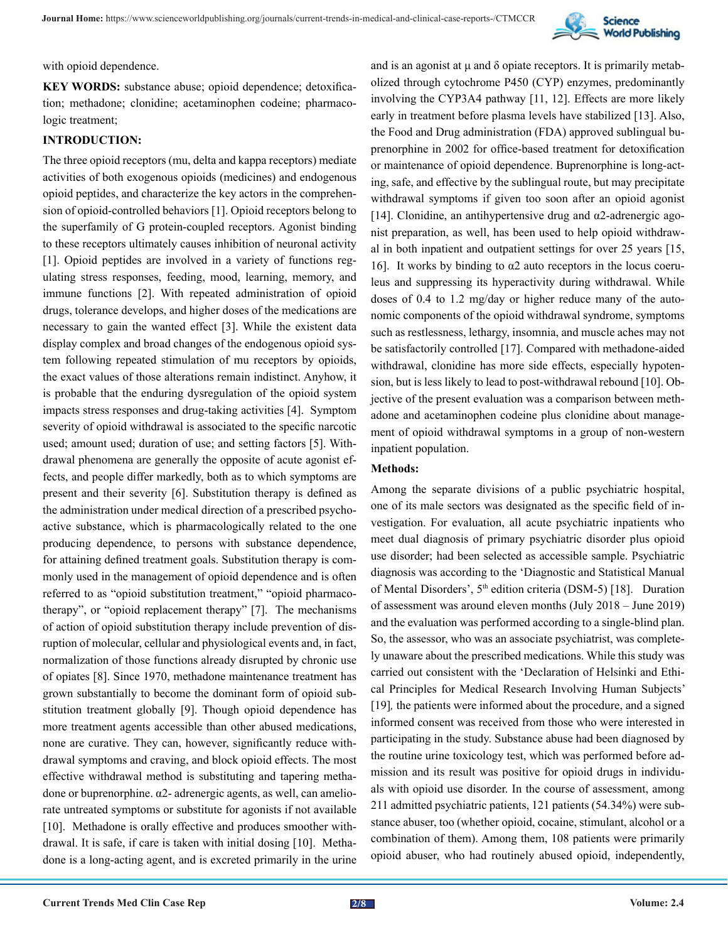

with opioid dependence.

KEY WORDS: substance abuse; opioid dependence; detoxification; methadone; clonidine; acetaminophen codeine; pharmacologic treatment;

# **INTRODUCTION:**

The three opioid receptors (mu, delta and kappa receptors) mediate activities of both exogenous opioids (medicines) and endogenous opioid peptides, and characterize the key actors in the comprehension of opioid-controlled behaviors [1]. Opioid receptors belong to the superfamily of G protein-coupled receptors. Agonist binding to these receptors ultimately causes inhibition of neuronal activity [1]. Opioid peptides are involved in a variety of functions regulating stress responses, feeding, mood, learning, memory, and immune functions [2]. With repeated administration of opioid drugs, tolerance develops, and higher doses of the medications are necessary to gain the wanted effect [3]. While the existent data display complex and broad changes of the endogenous opioid system following repeated stimulation of mu receptors by opioids, the exact values of those alterations remain indistinct. Anyhow, it is probable that the enduring dysregulation of the opioid system impacts stress responses and drug-taking activities [4]. Symptom severity of opioid withdrawal is associated to the specific narcotic used; amount used; duration of use; and setting factors [5]. Withdrawal phenomena are generally the opposite of acute agonist effects, and people differ markedly, both as to which symptoms are present and their severity [6]. Substitution therapy is defined as the administration under medical direction of a prescribed psychoactive substance, which is pharmacologically related to the one producing dependence, to persons with substance dependence, for attaining defined treatment goals. Substitution therapy is commonly used in the management of opioid dependence and is often referred to as "opioid substitution treatment," "opioid pharmacotherapy", or "opioid replacement therapy" [7]. The mechanisms of action of opioid substitution therapy include prevention of disruption of molecular, cellular and physiological events and, in fact, normalization of those functions already disrupted by chronic use of opiates [8]. Since 1970, methadone maintenance treatment has grown substantially to become the dominant form of opioid substitution treatment globally [9]. Though opioid dependence has more treatment agents accessible than other abused medications, none are curative. They can, however, significantly reduce withdrawal symptoms and craving, and block opioid effects. The most effective withdrawal method is substituting and tapering methadone or buprenorphine. α2- adrenergic agents, as well, can ameliorate untreated symptoms or substitute for agonists if not available [10]. Methadone is orally effective and produces smoother withdrawal. It is safe, if care is taken with initial dosing [10]. Methadone is a long-acting agent, and is excreted primarily in the urine

and is an agonist at  $\mu$  and  $\delta$  opiate receptors. It is primarily metabolized through cytochrome P450 (CYP) enzymes, predominantly involving the CYP3A4 pathway [11, 12]. Effects are more likely early in treatment before plasma levels have stabilized [13]. Also, the Food and Drug administration (FDA) approved sublingual buprenorphine in 2002 for office-based treatment for detoxification or maintenance of opioid dependence. Buprenorphine is long-acting, safe, and effective by the sublingual route, but may precipitate withdrawal symptoms if given too soon after an opioid agonist [14]. Clonidine, an antihypertensive drug and α2-adrenergic agonist preparation, as well, has been used to help opioid withdrawal in both inpatient and outpatient settings for over 25 years [15, 16]. It works by binding to  $\alpha$ 2 auto receptors in the locus coeruleus and suppressing its hyperactivity during withdrawal. While doses of 0.4 to 1.2 mg/day or higher reduce many of the autonomic components of the opioid withdrawal syndrome, symptoms such as restlessness, lethargy, insomnia, and muscle aches may not be satisfactorily controlled [17]. Compared with methadone-aided withdrawal, clonidine has more side effects, especially hypotension, but is less likely to lead to post-withdrawal rebound [10]. Objective of the present evaluation was a comparison between methadone and acetaminophen codeine plus clonidine about management of opioid withdrawal symptoms in a group of non-western inpatient population.

#### **Methods:**

Among the separate divisions of a public psychiatric hospital, one of its male sectors was designated as the specific field of investigation. For evaluation, all acute psychiatric inpatients who meet dual diagnosis of primary psychiatric disorder plus opioid use disorder; had been selected as accessible sample. Psychiatric diagnosis was according to the 'Diagnostic and Statistical Manual of Mental Disorders', 5<sup>th</sup> edition criteria (DSM-5) [18]. Duration of assessment was around eleven months (July 2018 – June 2019) and the evaluation was performed according to a single-blind plan. So, the assessor, who was an associate psychiatrist, was completely unaware about the prescribed medications. While this study was carried out consistent with the 'Declaration of Helsinki and Ethical Principles for Medical Research Involving Human Subjects' [19], the patients were informed about the procedure, and a signed informed consent was received from those who were interested in participating in the study. Substance abuse had been diagnosed by the routine urine toxicology test, which was performed before admission and its result was positive for opioid drugs in individuals with opioid use disorder. In the course of assessment, among 211 admitted psychiatric patients, 121 patients (54.34%) were substance abuser, too (whether opioid, cocaine, stimulant, alcohol or a combination of them). Among them, 108 patients were primarily opioid abuser, who had routinely abused opioid, independently,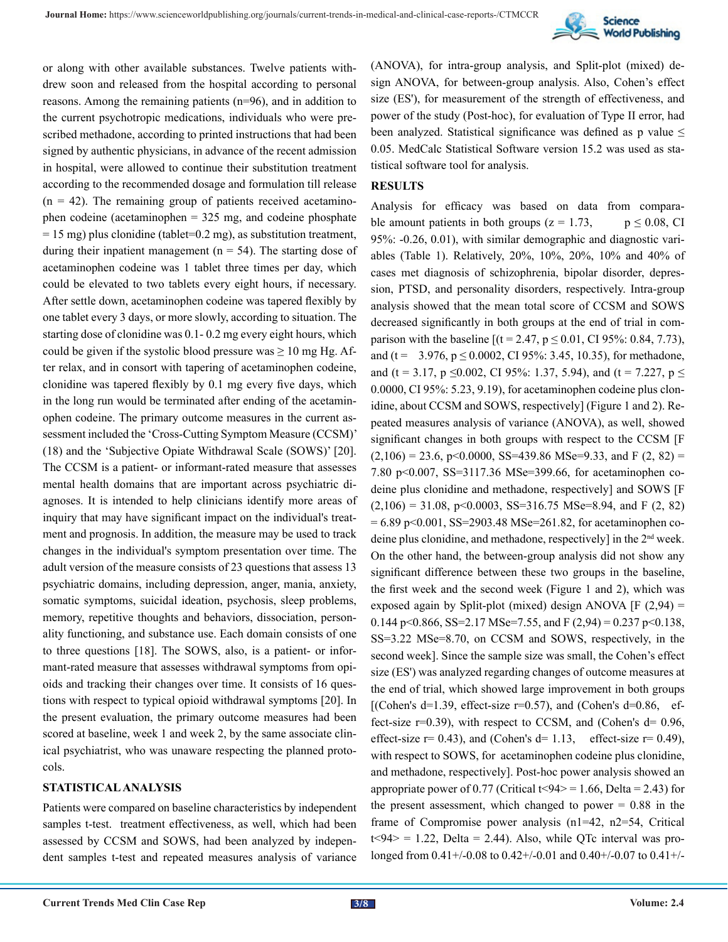

or along with other available substances. Twelve patients withdrew soon and released from the hospital according to personal reasons. Among the remaining patients (n=96), and in addition to the current psychotropic medications, individuals who were prescribed methadone, according to printed instructions that had been signed by authentic physicians, in advance of the recent admission in hospital, were allowed to continue their substitution treatment according to the recommended dosage and formulation till release  $(n = 42)$ . The remaining group of patients received acetaminophen codeine (acetaminophen = 325 mg, and codeine phosphate  $= 15$  mg) plus clonidine (tablet=0.2 mg), as substitution treatment, during their inpatient management ( $n = 54$ ). The starting dose of acetaminophen codeine was 1 tablet three times per day, which could be elevated to two tablets every eight hours, if necessary. After settle down, acetaminophen codeine was tapered flexibly by one tablet every 3 days, or more slowly, according to situation. The starting dose of clonidine was 0.1- 0.2 mg every eight hours, which could be given if the systolic blood pressure was  $\geq 10$  mg Hg. After relax, and in consort with tapering of acetaminophen codeine, clonidine was tapered flexibly by 0.1 mg every five days, which in the long run would be terminated after ending of the acetaminophen codeine. The primary outcome measures in the current assessment included the 'Cross-Cutting Symptom Measure (CCSM)' (18) and the 'Subjective Opiate Withdrawal Scale (SOWS)' [20]. The CCSM is a patient- or informant-rated measure that assesses mental health domains that are important across psychiatric diagnoses. It is intended to help clinicians identify more areas of inquiry that may have significant impact on the individual's treatment and prognosis. In addition, the measure may be used to track changes in the individual's symptom presentation over time. The adult version of the measure consists of 23 questions that assess 13 psychiatric domains, including depression, anger, mania, anxiety, somatic symptoms, suicidal ideation, psychosis, sleep problems, memory, repetitive thoughts and behaviors, dissociation, personality functioning, and substance use. Each domain consists of one to three questions [18]. The SOWS, also, is a patient- or informant-rated measure that assesses withdrawal symptoms from opioids and tracking their changes over time. It consists of 16 questions with respect to typical opioid withdrawal symptoms [20]. In the present evaluation, the primary outcome measures had been scored at baseline, week 1 and week 2, by the same associate clinical psychiatrist, who was unaware respecting the planned protocols.

#### **STATISTICAL ANALYSIS**

Patients were compared on baseline characteristics by independent samples t-test. treatment effectiveness, as well, which had been assessed by CCSM and SOWS, had been analyzed by independent samples t-test and repeated measures analysis of variance

(ANOVA), for intra-group analysis, and Split-plot (mixed) design ANOVA, for between-group analysis. Also, Cohen's effect size (ES'), for measurement of the strength of effectiveness, and power of the study (Post-hoc), for evaluation of Type II error, had been analyzed. Statistical significance was defined as p value  $\leq$ 0.05. MedCalc Statistical Software version 15.2 was used as statistical software tool for analysis.

#### **RESULTS**

Analysis for efficacy was based on data from comparable amount patients in both groups ( $z = 1.73$ ,  $p \le 0.08$ , CI 95%: -0.26, 0.01), with similar demographic and diagnostic variables (Table 1). Relatively, 20%, 10%, 20%, 10% and 40% of cases met diagnosis of schizophrenia, bipolar disorder, depression, PTSD, and personality disorders, respectively. Intra-group analysis showed that the mean total score of CCSM and SOWS decreased significantly in both groups at the end of trial in comparison with the baseline  $[(t = 2.47, p \le 0.01, CI 95\% : 0.84, 7.73)]$ and (t =  $3.976$ , p  $\leq$  0.0002, CI 95%: 3.45, 10.35), for methadone, and (t = 3.17, p  $\leq$ 0.002, CI 95%: 1.37, 5.94), and (t = 7.227, p  $\leq$ 0.0000, CI 95%: 5.23, 9.19), for acetaminophen codeine plus clonidine, about CCSM and SOWS, respectively] (Figure 1 and 2). Repeated measures analysis of variance (ANOVA), as well, showed significant changes in both groups with respect to the CCSM [F  $(2,106) = 23.6$ , p<0.0000, SS=439.86 MSe=9.33, and F  $(2, 82) =$ 7.80 p<0.007, SS=3117.36 MSe=399.66, for acetaminophen codeine plus clonidine and methadone, respectively] and SOWS [F  $(2,106) = 31.08$ , p<0.0003, SS=316.75 MSe=8.94, and F (2, 82)  $= 6.89$  p $\leq 0.001$ , SS=2903.48 MSe=261.82, for acetaminophen codeine plus clonidine, and methadone, respectively] in the 2nd week. On the other hand, the between-group analysis did not show any significant difference between these two groups in the baseline, the first week and the second week (Figure 1 and 2), which was exposed again by Split-plot (mixed) design ANOVA  $[F (2, 94) =$ 0.144 p<0.866, SS=2.17 MSe=7.55, and F (2,94) = 0.237 p<0.138, SS=3.22 MSe=8.70, on CCSM and SOWS, respectively, in the second week]. Since the sample size was small, the Cohen's effect size (ES') was analyzed regarding changes of outcome measures at the end of trial, which showed large improvement in both groups [(Cohen's d=1.39, effect-size  $r=0.57$ ), and (Cohen's d=0.86, effect-size  $r=0.39$ ), with respect to CCSM, and (Cohen's  $d= 0.96$ , effect-size  $r= 0.43$ ), and (Cohen's d= 1.13, effect-size  $r= 0.49$ ), with respect to SOWS, for acetaminophen codeine plus clonidine, and methadone, respectively]. Post-hoc power analysis showed an appropriate power of 0.77 (Critical  $t < 94$  = 1.66, Delta = 2.43) for the present assessment, which changed to power  $= 0.88$  in the frame of Compromise power analysis (n1=42, n2=54, Critical  $t<94$  = 1.22, Delta = 2.44). Also, while QTc interval was prolonged from 0.41+/-0.08 to 0.42+/-0.01 and 0.40+/-0.07 to 0.41+/-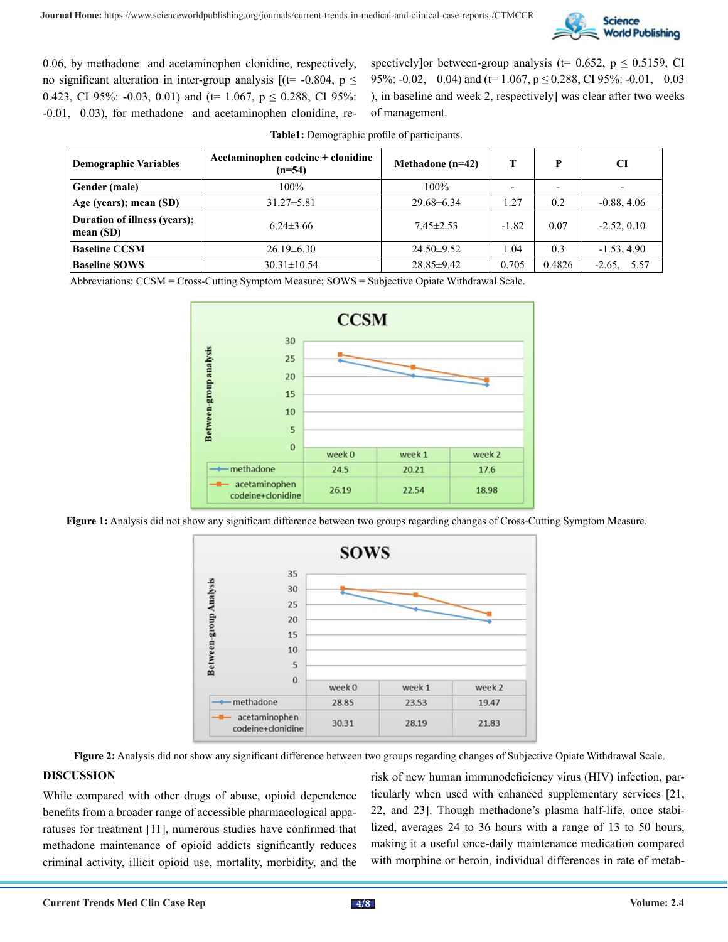

0.06, by methadone and acetaminophen clonidine, respectively, no significant alteration in inter-group analysis  $[(t= -0.804, p \le$ 0.423, CI 95%: -0.03, 0.01) and ( $t= 1.067$ ,  $p \le 0.288$ , CI 95%: -0.01, 0.03), for methadone and acetaminophen clonidine, respectively]or between-group analysis (t= 0.652,  $p \le 0.5159$ , CI 95%:  $-0.02$ , 0.04) and (t= 1.067, p  $\leq$  0.288, CI 95%:  $-0.01$ , 0.03 ), in baseline and week 2, respectively] was clear after two weeks of management.

| Demographic Variables                     | Acetaminophen codeine + clonidine<br>$(n=54)$ | Methadone $(n=42)$ | т       |        | <b>CI</b>     |
|-------------------------------------------|-----------------------------------------------|--------------------|---------|--------|---------------|
| <b>Gender (male)</b>                      | 100%                                          | $100\%$            |         |        |               |
| Age (years); mean (SD)                    | $31.27 \pm 5.81$                              | $29.68 \pm 6.34$   | 1.27    | 0.2    | $-0.88, 4.06$ |
| Duration of illness (years);<br>mean (SD) | $6.24\pm3.66$                                 | $7.45 \pm 2.53$    | $-1.82$ | 0.07   | $-2.52, 0.10$ |
| <b>Baseline CCSM</b>                      | $26.19\pm 6.30$                               | $24.50 \pm 9.52$   | 1.04    | 0.3    | $-1.53, 4.90$ |
| <b>Baseline SOWS</b>                      | $30.31 \pm 10.54$                             | $28.85 \pm 9.42$   | 0.705   | 0.4826 | $-2.65, 5.57$ |

**Table1:** Demographic profile of participants.

Abbreviations: CCSM = Cross-Cutting Symptom Measure; SOWS = Subjective Opiate Withdrawal Scale.



**Figure 1:** Analysis did not show any significant difference between two groups regarding changes of Cross-Cutting Symptom Measure.



**Figure 2:** Analysis did not show any significant difference between two groups regarding changes of Subjective Opiate Withdrawal Scale.

#### **DISCUSSION**

While compared with other drugs of abuse, opioid dependence benefits from a broader range of accessible pharmacological apparatuses for treatment [11], numerous studies have confirmed that methadone maintenance of opioid addicts significantly reduces criminal activity, illicit opioid use, mortality, morbidity, and the

risk of new human immunodeficiency virus (HIV) infection, particularly when used with enhanced supplementary services [21, 22, and 23]. Though methadone's plasma half-life, once stabilized, averages 24 to 36 hours with a range of 13 to 50 hours, making it a useful once-daily maintenance medication compared with morphine or heroin, individual differences in rate of metab-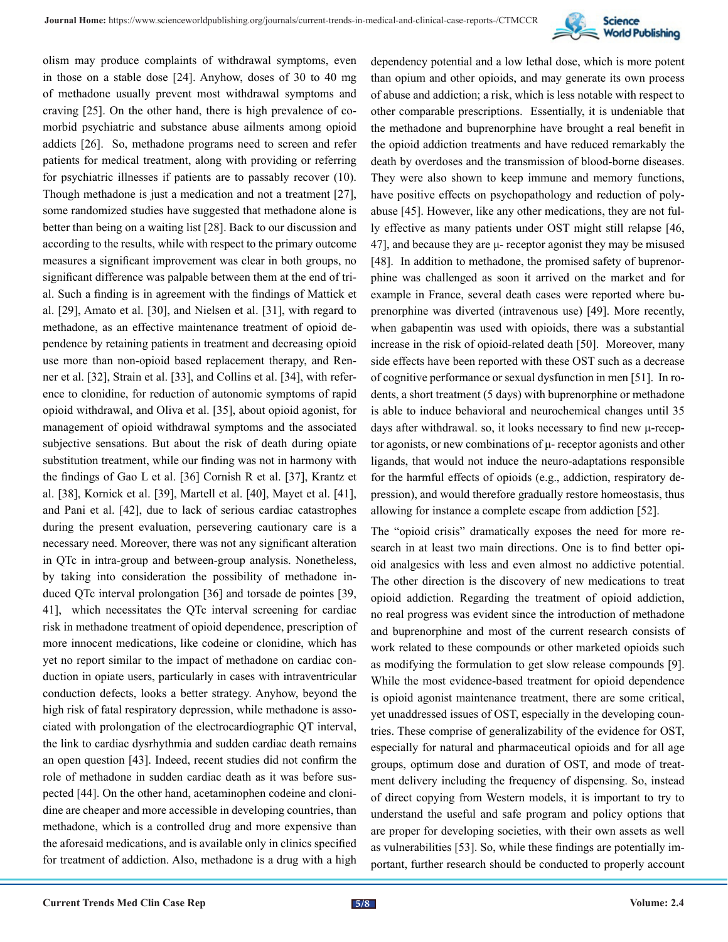

olism may produce complaints of withdrawal symptoms, even in those on a stable dose [24]. Anyhow, doses of 30 to 40 mg of methadone usually prevent most withdrawal symptoms and craving [25]. On the other hand, there is high prevalence of comorbid psychiatric and substance abuse ailments among opioid addicts [26]. So, methadone programs need to screen and refer patients for medical treatment, along with providing or referring for psychiatric illnesses if patients are to passably recover (10). Though methadone is just a medication and not a treatment [27], some randomized studies have suggested that methadone alone is better than being on a waiting list [28]. Back to our discussion and according to the results, while with respect to the primary outcome measures a significant improvement was clear in both groups, no significant difference was palpable between them at the end of trial. Such a finding is in agreement with the findings of Mattick et al. [29], Amato et al. [30], and Nielsen et al. [31], with regard to methadone, as an effective maintenance treatment of opioid dependence by retaining patients in treatment and decreasing opioid use more than non-opioid based replacement therapy, and Renner et al. [32], Strain et al. [33], and Collins et al. [34], with reference to clonidine, for reduction of autonomic symptoms of rapid opioid withdrawal, and Oliva et al. [35], about opioid agonist, for management of opioid withdrawal symptoms and the associated subjective sensations. But about the risk of death during opiate substitution treatment, while our finding was not in harmony with the findings of Gao L et al. [36] Cornish R et al. [37], Krantz et al. [38], Kornick et al. [39], Martell et al. [40], Mayet et al. [41], and Pani et al. [42], due to lack of serious cardiac catastrophes during the present evaluation, persevering cautionary care is a necessary need. Moreover, there was not any significant alteration in QTc in intra-group and between-group analysis. Nonetheless, by taking into consideration the possibility of methadone induced QTc interval prolongation [36] and torsade de pointes [39, 41], which necessitates the QTc interval screening for cardiac risk in methadone treatment of opioid dependence, prescription of more innocent medications, like codeine or clonidine, which has yet no report similar to the impact of methadone on cardiac conduction in opiate users, particularly in cases with intraventricular conduction defects, looks a better strategy. Anyhow, beyond the high risk of fatal respiratory depression, while methadone is associated with prolongation of the electrocardiographic QT interval, the link to cardiac dysrhythmia and sudden cardiac death remains an open question [43]. Indeed, recent studies did not confirm the role of methadone in sudden cardiac death as it was before suspected [44]. On the other hand, acetaminophen codeine and clonidine are cheaper and more accessible in developing countries, than methadone, which is a controlled drug and more expensive than the aforesaid medications, and is available only in clinics specified for treatment of addiction. Also, methadone is a drug with a high

dependency potential and a low lethal dose, which is more potent than opium and other opioids, and may generate its own process of abuse and addiction; a risk, which is less notable with respect to other comparable prescriptions. Essentially, it is undeniable that the methadone and buprenorphine have brought a real benefit in the opioid addiction treatments and have reduced remarkably the death by overdoses and the transmission of blood-borne diseases. They were also shown to keep immune and memory functions, have positive effects on psychopathology and reduction of polyabuse [45]. However, like any other medications, they are not fully effective as many patients under OST might still relapse [46, 47], and because they are  $\mu$ - receptor agonist they may be misused [48]. In addition to methadone, the promised safety of buprenorphine was challenged as soon it arrived on the market and for example in France, several death cases were reported where buprenorphine was diverted (intravenous use) [49]. More recently, when gabapentin was used with opioids, there was a substantial increase in the risk of opioid-related death [50]. Moreover, many side effects have been reported with these OST such as a decrease of cognitive performance or sexual dysfunction in men [51]. In rodents, a short treatment (5 days) with buprenorphine or methadone is able to induce behavioral and neurochemical changes until 35 days after withdrawal. so, it looks necessary to find new μ-receptor agonists, or new combinations of μ- receptor agonists and other ligands, that would not induce the neuro-adaptations responsible for the harmful effects of opioids (e.g., addiction, respiratory depression), and would therefore gradually restore homeostasis, thus allowing for instance a complete escape from addiction [52].

The "opioid crisis" dramatically exposes the need for more research in at least two main directions. One is to find better opioid analgesics with less and even almost no addictive potential. The other direction is the discovery of new medications to treat opioid addiction. Regarding the treatment of opioid addiction, no real progress was evident since the introduction of methadone and buprenorphine and most of the current research consists of work related to these compounds or other marketed opioids such as modifying the formulation to get slow release compounds [9]. While the most evidence-based treatment for opioid dependence is opioid agonist maintenance treatment, there are some critical, yet unaddressed issues of OST, especially in the developing countries. These comprise of generalizability of the evidence for OST, especially for natural and pharmaceutical opioids and for all age groups, optimum dose and duration of OST, and mode of treatment delivery including the frequency of dispensing. So, instead of direct copying from Western models, it is important to try to understand the useful and safe program and policy options that are proper for developing societies, with their own assets as well as vulnerabilities [53]. So, while these findings are potentially important, further research should be conducted to properly account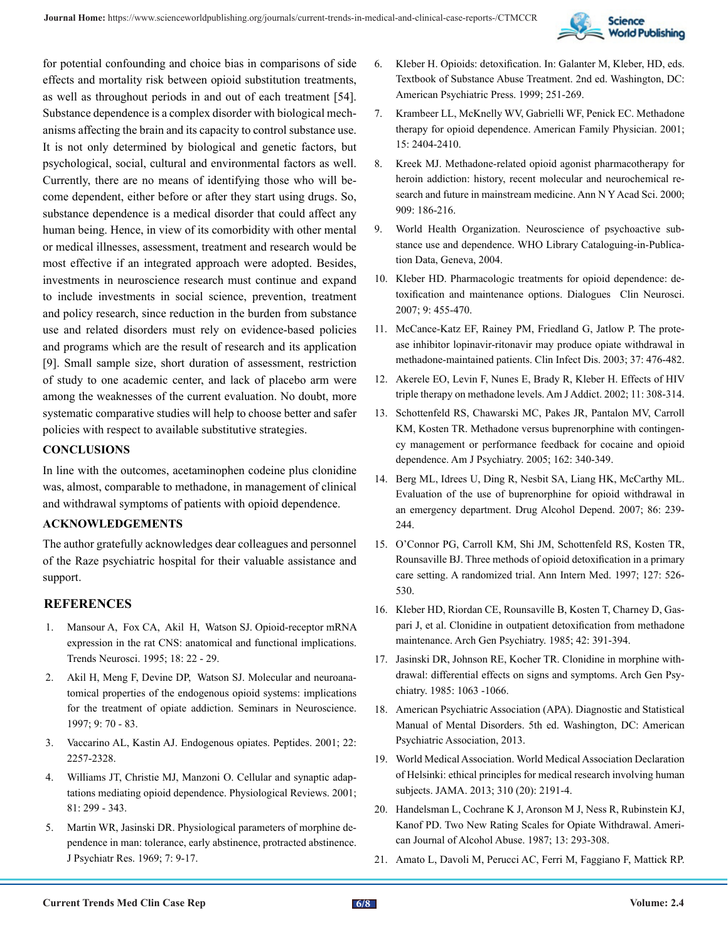

for potential confounding and choice bias in comparisons of side effects and mortality risk between opioid substitution treatments, as well as throughout periods in and out of each treatment [54]. Substance dependence is a complex disorder with biological mechanisms affecting the brain and its capacity to control substance use. It is not only determined by biological and genetic factors, but psychological, social, cultural and environmental factors as well. Currently, there are no means of identifying those who will become dependent, either before or after they start using drugs. So, substance dependence is a medical disorder that could affect any human being. Hence, in view of its comorbidity with other mental or medical illnesses, assessment, treatment and research would be most effective if an integrated approach were adopted. Besides, investments in neuroscience research must continue and expand to include investments in social science, prevention, treatment and policy research, since reduction in the burden from substance use and related disorders must rely on evidence-based policies and programs which are the result of research and its application [9]. Small sample size, short duration of assessment, restriction of study to one academic center, and lack of placebo arm were among the weaknesses of the current evaluation. No doubt, more systematic comparative studies will help to choose better and safer policies with respect to available substitutive strategies.

# **CONCLUSIONS**

In line with the outcomes, acetaminophen codeine plus clonidine was, almost, comparable to methadone, in management of clinical and withdrawal symptoms of patients with opioid dependence.

#### **ACKNOWLEDGEMENTS**

The author gratefully acknowledges dear colleagues and personnel of the Raze psychiatric hospital for their valuable assistance and support.

# **REFERENCES**

- 1. [Mansour A, Fox CA, Akil H, Watson SJ. Opioid-receptor mRNA](https://pubmed.ncbi.nlm.nih.gov/7535487/)  [expression in the rat CNS: anatomical and functional implications.](https://pubmed.ncbi.nlm.nih.gov/7535487/) [Trends Neurosci. 1995; 18: 22 - 29.](https://pubmed.ncbi.nlm.nih.gov/7535487/)
- 2. Akil H, Meng F, Devine DP, Watson SJ. Molecular and neuroanatomical properties of the endogenous opioid systems: implications for the treatment of opiate addiction. Seminars in Neuroscience. 1997; 9: 70 - 83.
- 3. Vaccarino AL, Kastin AJ. Endogenous opiates. Peptides. 2001; 22: 2257-2328.
- 4. [Williams JT, Christie MJ, Manzoni O. Cellular and synaptic adap](https://pubmed.ncbi.nlm.nih.gov/11152760/)[tations mediating opioid dependence. Physiological Reviews. 2001;](https://pubmed.ncbi.nlm.nih.gov/11152760/) [81: 299 - 343.](https://pubmed.ncbi.nlm.nih.gov/11152760/)
- 5. [Martin WR, Jasinski DR. Physiological parameters of morphine de](https://pubmed.ncbi.nlm.nih.gov/5352850/)[pendence in man: tolerance, early abstinence, protracted abstinence.](https://pubmed.ncbi.nlm.nih.gov/5352850/) [J Psychiatr Res. 1969; 7: 9-17.](https://pubmed.ncbi.nlm.nih.gov/5352850/)
- 6. Kleber H. Opioids: detoxification. In: Galanter M, Kleber, HD, eds. Textbook of Substance Abuse Treatment. 2nd ed. Washington, DC: American Psychiatric Press. 1999; 251-269.
- 7. Krambeer LL, McKnelly WV, Gabrielli WF, Penick EC. Methadone therapy for opioid dependence. American Family Physician. 2001; 15: 2404-2410.
- 8. [Kreek MJ. Methadone-related opioid agonist pharmacotherapy for](https://pubmed.ncbi.nlm.nih.gov/10911931/)  [heroin addiction: history, recent molecular and neurochemical re](https://pubmed.ncbi.nlm.nih.gov/10911931/)[search and future in mainstream medicine. Ann N Y Acad Sci. 2000;](https://pubmed.ncbi.nlm.nih.gov/10911931/) [909: 186-216.](https://pubmed.ncbi.nlm.nih.gov/10911931/)
- 9. World Health Organization. Neuroscience of psychoactive substance use and dependence. WHO Library Cataloguing-in-Publication Data, Geneva, 2004.
- 10. [Kleber HD. Pharmacologic treatments for opioid dependence: de](https://pubmed.ncbi.nlm.nih.gov/18286804/)[toxification and maintenance options. Dialogues Clin Neurosci.](https://pubmed.ncbi.nlm.nih.gov/18286804/)  [2007; 9: 455-470.](https://pubmed.ncbi.nlm.nih.gov/18286804/)
- 11. [McCance-Katz EF, Rainey PM, Friedland G, Jatlow P. The prote](https://pubmed.ncbi.nlm.nih.gov/12905130/)[ase inhibitor lopinavir-ritonavir may produce opiate withdrawal in](https://pubmed.ncbi.nlm.nih.gov/12905130/)  [methadone-maintained patients. Clin Infect Dis. 2003; 37: 476-482.](https://pubmed.ncbi.nlm.nih.gov/12905130/)
- 12. [Akerele EO, Levin F, Nunes E, Brady R, Kleber H. Effects of HIV](https://pubmed.ncbi.nlm.nih.gov/12584873/)  [triple therapy on methadone levels. Am J Addict. 2002; 11: 308-314.](https://pubmed.ncbi.nlm.nih.gov/12584873/)
- 13. [Schottenfeld RS, Chawarski MC, Pakes JR, Pantalon MV, Carroll](https://pubmed.ncbi.nlm.nih.gov/15677600/) [KM, Kosten TR. Methadone versus buprenorphine with contingen](https://pubmed.ncbi.nlm.nih.gov/15677600/)[cy management or performance feedback for cocaine and opioid](https://pubmed.ncbi.nlm.nih.gov/15677600/)  [dependence. Am J Psychiatry. 2005; 162: 340-349.](https://pubmed.ncbi.nlm.nih.gov/15677600/)
- 14. [Berg ML, Idrees U, Ding R, Nesbit SA, Liang HK, McCarthy ML.](https://pubmed.ncbi.nlm.nih.gov/16930865/)  [Evaluation of the use of buprenorphine for opioid withdrawal in](https://pubmed.ncbi.nlm.nih.gov/16930865/) [an emergency department. Drug Alcohol Depend. 2007; 86: 239-](https://pubmed.ncbi.nlm.nih.gov/16930865/) [244.](https://pubmed.ncbi.nlm.nih.gov/16930865/)
- 15. [O'Connor PG, Carroll KM, Shi JM, Schottenfeld RS, Kosten TR,](https://pubmed.ncbi.nlm.nih.gov/9313020/)  [Rounsaville BJ. Three methods of opioid detoxification in a primary](https://pubmed.ncbi.nlm.nih.gov/9313020/) [care setting. A randomized trial. Ann Intern Med. 1997; 127: 526-](https://pubmed.ncbi.nlm.nih.gov/9313020/) [530.](https://pubmed.ncbi.nlm.nih.gov/9313020/)
- 16. [Kleber HD, Riordan CE, Rounsaville B, Kosten T, Charney D, Gas](https://pubmed.ncbi.nlm.nih.gov/3977557/)[pari J, et al. Clonidine in outpatient detoxification from methadone](https://pubmed.ncbi.nlm.nih.gov/3977557/) [maintenance. Arch Gen Psychiatry. 1985; 42: 391-394.](https://pubmed.ncbi.nlm.nih.gov/3977557/)
- 17. [Jasinski DR, Johnson RE, Kocher TR. Clonidine in morphine with](https://pubmed.ncbi.nlm.nih.gov/2413818/)[drawal: differential effects on signs and symptoms. Arch Gen Psy](https://pubmed.ncbi.nlm.nih.gov/2413818/)[chiatry. 1985: 1063 -1066.](https://pubmed.ncbi.nlm.nih.gov/2413818/)
- 18. American Psychiatric Association (APA). Diagnostic and Statistical Manual of Mental Disorders. 5th ed. Washington, DC: American Psychiatric Association, 2013.
- 19. [World Medical Association. World Medical Association Declaration](https://pubmed.ncbi.nlm.nih.gov/24141714/) [of Helsinki: ethical principles for medical research involving human](https://pubmed.ncbi.nlm.nih.gov/24141714/)  [subjects. JAMA. 2013; 310 \(20\): 2191-4.](https://pubmed.ncbi.nlm.nih.gov/24141714/)
- 20. [Handelsman L, Cochrane K J, Aronson M J, Ness R, Rubinstein KJ,](https://pubmed.ncbi.nlm.nih.gov/3687892/)  [Kanof PD. Two New Rating Scales for Opiate Withdrawal. Ameri](https://pubmed.ncbi.nlm.nih.gov/3687892/)[can Journal of Alcohol Abuse. 1987; 13: 293-308.](https://pubmed.ncbi.nlm.nih.gov/3687892/)
- 21. [Amato L, Davoli M, Perucci AC, Ferri M, Faggiano F, Mattick RP.](https://pubmed.ncbi.nlm.nih.gov/15925266/)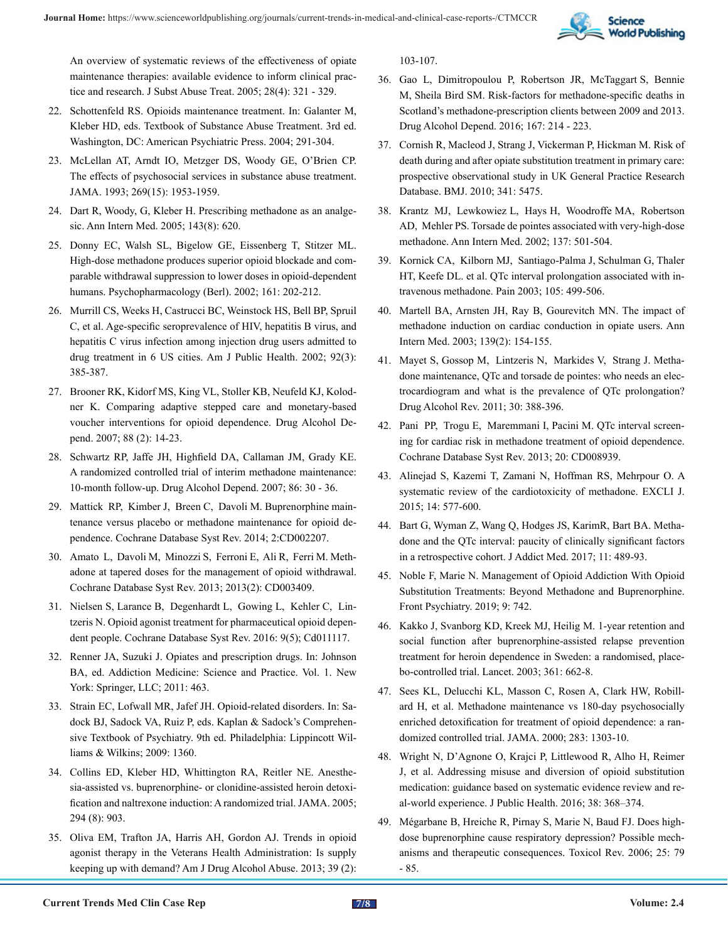

[An overview of systematic reviews of the effectiveness of opiate](https://pubmed.ncbi.nlm.nih.gov/15925266/) [maintenance therapies: available evidence to inform clinical prac](https://pubmed.ncbi.nlm.nih.gov/15925266/)[tice and research. J Subst Abuse Treat. 2005; 28\(4\): 321 - 329.](https://pubmed.ncbi.nlm.nih.gov/15925266/)

- 22. Schottenfeld RS. Opioids maintenance treatment. In: Galanter M, Kleber HD, eds. Textbook of Substance Abuse Treatment. 3rd ed. Washington, DC: American Psychiatric Press. 2004; 291-304.
- 23. [McLellan AT, Arndt IO, Metzger DS, Woody GE, O'Brien CP.](https://pubmed.ncbi.nlm.nih.gov/8385230/) [The effects of psychosocial services in substance abuse treatment.](https://pubmed.ncbi.nlm.nih.gov/8385230/) [JAMA. 1993; 269\(15\): 1953-1959.](https://pubmed.ncbi.nlm.nih.gov/8385230/)
- 24. [Dart R, Woody, G, Kleber H. Prescribing methadone as an analge](https://pubmed.ncbi.nlm.nih.gov/16230741/)[sic. Ann Intern Med. 2005; 143\(8\): 620](https://pubmed.ncbi.nlm.nih.gov/16230741/).
- 25. [Donny EC, Walsh SL, Bigelow GE, Eissenberg T, Stitzer ML.](https://pubmed.ncbi.nlm.nih.gov/11981600/)  [High-dose methadone produces superior opioid blockade and com](https://pubmed.ncbi.nlm.nih.gov/11981600/)[parable withdrawal suppression to lower doses in opioid-dependent](https://pubmed.ncbi.nlm.nih.gov/11981600/) [humans. Psychopharmacology \(Berl\). 2002; 161: 202-212.](https://pubmed.ncbi.nlm.nih.gov/11981600/)
- 26. [Murrill CS, Weeks H, Castrucci BC, Weinstock HS, Bell BP, Spruil](https://pubmed.ncbi.nlm.nih.gov/11867316/) [C, et al. Age-specific seroprevalence of HIV, hepatitis B virus, and](https://pubmed.ncbi.nlm.nih.gov/11867316/) [hepatitis C virus infection among injection drug users admitted to](https://pubmed.ncbi.nlm.nih.gov/11867316/) [drug treatment in 6 US cities. Am J Public Health. 2002; 92\(3\):](https://pubmed.ncbi.nlm.nih.gov/11867316/)  [385-387.](https://pubmed.ncbi.nlm.nih.gov/11867316/)
- 27. [Brooner RK, Kidorf MS, King VL, Stoller KB, Neufeld KJ, Kolod](https://pubmed.ncbi.nlm.nih.gov/17257782/)[ner K. Comparing adaptive stepped care and monetary-based](https://pubmed.ncbi.nlm.nih.gov/17257782/) [voucher interventions for opioid dependence. Drug Alcohol De](https://pubmed.ncbi.nlm.nih.gov/17257782/)[pend. 2007; 88 \(2\): 14-23.](https://pubmed.ncbi.nlm.nih.gov/17257782/)
- 28. [Schwartz RP, Jaffe JH, Highfield DA, Callaman JM, Grady KE.](https://pubmed.ncbi.nlm.nih.gov/16793221/) [A randomized controlled trial of interim methadone maintenance:](https://pubmed.ncbi.nlm.nih.gov/16793221/) [10-month follow-up. Drug Alcohol Depend. 2007; 86: 30 - 36.](https://pubmed.ncbi.nlm.nih.gov/16793221/)
- 29. [Mattick RP, Kimber J, Breen C, Davoli M. Buprenorphine main](https://pubmed.ncbi.nlm.nih.gov/15266465/)[tenance versus placebo or methadone maintenance for opioid de](https://pubmed.ncbi.nlm.nih.gov/15266465/)[pendence. Cochrane Database Syst Rev. 2014; 2:CD002207.](https://pubmed.ncbi.nlm.nih.gov/15266465/)
- 30. [Amato L, Davoli M, Minozzi S, Ferroni E, Ali R, Ferri M. Meth](https://pubmed.ncbi.nlm.nih.gov/23450540/)[adone at tapered doses for the management of opioid withdrawal.](https://pubmed.ncbi.nlm.nih.gov/23450540/)  [Cochrane Database Syst Rev. 2013; 2013\(2\): CD003409.](https://pubmed.ncbi.nlm.nih.gov/23450540/)
- 31. [Nielsen S, Larance B, Degenhardt L, Gowing L, Kehler C, Lin](https://pubmed.ncbi.nlm.nih.gov/27157143/)[tzeris N. Opioid agonist treatment for pharmaceutical opioid depen](https://pubmed.ncbi.nlm.nih.gov/27157143/)[dent people. Cochrane Database Syst Rev. 2016: 9\(5\); Cd011117.](https://pubmed.ncbi.nlm.nih.gov/27157143/)
- 32. Renner JA, Suzuki J. Opiates and prescription drugs. In: Johnson BA, ed. Addiction Medicine: Science and Practice. Vol. 1. New York: Springer, LLC; 2011: 463.
- 33. Strain EC, Lofwall MR, Jafef JH. Opioid-related disorders. In: Sadock BJ, Sadock VA, Ruiz P, eds. Kaplan & Sadock's Comprehensive Textbook of Psychiatry. 9th ed. Philadelphia: Lippincott Williams & Wilkins; 2009: 1360.
- 34. [Collins ED, Kleber HD, Whittington RA, Reitler NE. Anesthe](https://pubmed.ncbi.nlm.nih.gov/16118380/)[sia-assisted vs. buprenorphine- or clonidine-assisted heroin detoxi](https://pubmed.ncbi.nlm.nih.gov/16118380/)[fication and naltrexone induction: A randomized trial. JAMA. 2005;](https://pubmed.ncbi.nlm.nih.gov/16118380/) [294 \(8\): 903.](https://pubmed.ncbi.nlm.nih.gov/16118380/)
- 35. [Oliva EM, Trafton JA, Harris AH, Gordon AJ. Trends in opioid](https://pubmed.ncbi.nlm.nih.gov/23421571/) [agonist therapy in the Veterans Health Administration: Is supply](https://pubmed.ncbi.nlm.nih.gov/23421571/) [keeping up with demand? Am J Drug Alcohol Abuse. 2013; 39 \(2\):](https://pubmed.ncbi.nlm.nih.gov/23421571/)

[103-107.](https://pubmed.ncbi.nlm.nih.gov/23421571/)

- 36. [Gao L, Dimitropoulou P, Robertson JR, McTaggart S, Bennie](https://pubmed.ncbi.nlm.nih.gov/27593969/) [M, Sheila Bird SM. Risk-factors for methadone-specific deaths in](https://pubmed.ncbi.nlm.nih.gov/27593969/) [Scotland's methadone-prescription clients between 2009 and 2013.](https://pubmed.ncbi.nlm.nih.gov/27593969/) [Drug Alcohol Depend. 2016; 167: 214 - 223.](https://pubmed.ncbi.nlm.nih.gov/27593969/)
- 37. [Cornish R, Macleod J, Strang J, Vickerman P, Hickman M. Risk of](https://pubmed.ncbi.nlm.nih.gov/20978062/) [death during and after opiate substitution treatment in primary care:](https://pubmed.ncbi.nlm.nih.gov/20978062/) [prospective observational study in UK General Practice Research](https://pubmed.ncbi.nlm.nih.gov/20978062/) [Database. BMJ. 2010; 341: 5475.](https://pubmed.ncbi.nlm.nih.gov/20978062/)
- 38. [Krantz MJ, Lewkowiez L, Hays H, Woodroffe MA, Robertson](https://pubmed.ncbi.nlm.nih.gov/12230351/) [AD, Mehler PS. Torsade de pointes associated with very-high-dose](https://pubmed.ncbi.nlm.nih.gov/12230351/) [methadone. Ann Intern Med. 2002; 137: 501-504.](https://pubmed.ncbi.nlm.nih.gov/12230351/)
- 39. [Kornick CA, Kilborn MJ, Santiago-Palma J, Schulman G, Thaler](https://pubmed.ncbi.nlm.nih.gov/14527710/) [HT, Keefe DL. et al. QTc interval prolongation associated with in](https://pubmed.ncbi.nlm.nih.gov/14527710/)[travenous methadone. Pain 2003; 105: 499-506.](https://pubmed.ncbi.nlm.nih.gov/14527710/)
- 40. [Martell BA, Arnsten JH, Ray B, Gourevitch MN. The impact of](https://pubmed.ncbi.nlm.nih.gov/12859171/)  [methadone induction on cardiac conduction in opiate users. Ann](https://pubmed.ncbi.nlm.nih.gov/12859171/) [Intern Med. 2003; 139\(2\): 154-155.](https://pubmed.ncbi.nlm.nih.gov/12859171/)
- 41. [Mayet S, Gossop M, Lintzeris N, Markides V, Strang J. Metha](https://pubmed.ncbi.nlm.nih.gov/21355918/#:~:text=Discussion%3A Over half to three,pointes known to be present.)[done maintenance, QTc and torsade de pointes: who needs an elec](https://pubmed.ncbi.nlm.nih.gov/21355918/#:~:text=Discussion%3A Over half to three,pointes known to be present.)[trocardiogram and what is the prevalence of QTc prolongation?](https://pubmed.ncbi.nlm.nih.gov/21355918/#:~:text=Discussion%3A Over half to three,pointes known to be present.) [Drug Alcohol Rev. 2011; 30: 388-396.](https://pubmed.ncbi.nlm.nih.gov/21355918/#:~:text=Discussion%3A Over half to three,pointes known to be present.)
- 42. [Pani PP, Trogu E, Maremmani I, Pacini M. QTc interval screen](https://pubmed.ncbi.nlm.nih.gov/23787716/)[ing for cardiac risk in methadone treatment of opioid dependence.](https://pubmed.ncbi.nlm.nih.gov/23787716/) [Cochrane Database Syst Rev. 2013; 20: CD008939.](https://pubmed.ncbi.nlm.nih.gov/23787716/)
- 43. [Alinejad S, Kazemi T, Zamani N, Hoffman RS, Mehrpour O. A](https://pubmed.ncbi.nlm.nih.gov/26869865/) [systematic review of the cardiotoxicity of methadone. EXCLI J.](https://pubmed.ncbi.nlm.nih.gov/26869865/) [2015; 14: 577-600.](https://pubmed.ncbi.nlm.nih.gov/26869865/)
- 44. [Bart G, Wyman Z, Wang Q, Hodges JS, KarimR, Bart BA. Metha](https://pubmed.ncbi.nlm.nih.gov/28863009/)[done and the QTc interval: paucity of clinically significant factors](https://pubmed.ncbi.nlm.nih.gov/28863009/) [in a retrospective cohort. J Addict Med. 2017; 11: 489-93.](https://pubmed.ncbi.nlm.nih.gov/28863009/)
- 45. [Noble F, Marie N. Management of Opioid Addiction With Opioid](https://pubmed.ncbi.nlm.nih.gov/30713510/) [Substitution Treatments: Beyond Methadone and Buprenorphine.](https://pubmed.ncbi.nlm.nih.gov/30713510/) [Front Psychiatry. 2019; 9: 742.](https://pubmed.ncbi.nlm.nih.gov/30713510/)
- 46. [Kakko J, Svanborg KD, Kreek MJ, Heilig M. 1-year retention and](https://pubmed.ncbi.nlm.nih.gov/12606177/) [social function after buprenorphine-assisted relapse prevention](https://pubmed.ncbi.nlm.nih.gov/12606177/) [treatment for heroin dependence in Sweden: a randomised, place](https://pubmed.ncbi.nlm.nih.gov/12606177/)[bo-controlled trial. Lancet. 2003; 361: 662-8.](https://pubmed.ncbi.nlm.nih.gov/12606177/)
- 47. [Sees KL, Delucchi KL, Masson C, Rosen A, Clark HW, Robill](https://pubmed.ncbi.nlm.nih.gov/10714729/)[ard H, et al. Methadone maintenance vs 180-day psychosocially](https://pubmed.ncbi.nlm.nih.gov/10714729/) [enriched detoxification for treatment of opioid dependence: a ran](https://pubmed.ncbi.nlm.nih.gov/10714729/)[domized controlled trial. JAMA. 2000; 283: 1303-10.](https://pubmed.ncbi.nlm.nih.gov/10714729/)
- 48. [Wright N, D'Agnone O, Krajci P, Littlewood R, Alho H, Reimer](https://pubmed.ncbi.nlm.nih.gov/26508767/) [J, et al. Addressing misuse and diversion of opioid substitution](https://pubmed.ncbi.nlm.nih.gov/26508767/) [medication: guidance based on systematic evidence review and re](https://pubmed.ncbi.nlm.nih.gov/26508767/)[al-world experience. J Public Health. 2016; 38: 368–374.](https://pubmed.ncbi.nlm.nih.gov/26508767/)
- 49. [Mégarbane B, Hreiche R, Pirnay S, Marie N, Baud FJ. Does high](https://pubmed.ncbi.nlm.nih.gov/16958555/)[dose buprenorphine cause respiratory depression? Possible mech](https://pubmed.ncbi.nlm.nih.gov/16958555/)[anisms and therapeutic consequences. Toxicol Rev. 2006; 25: 79](https://pubmed.ncbi.nlm.nih.gov/16958555/) [- 85.](https://pubmed.ncbi.nlm.nih.gov/16958555/)